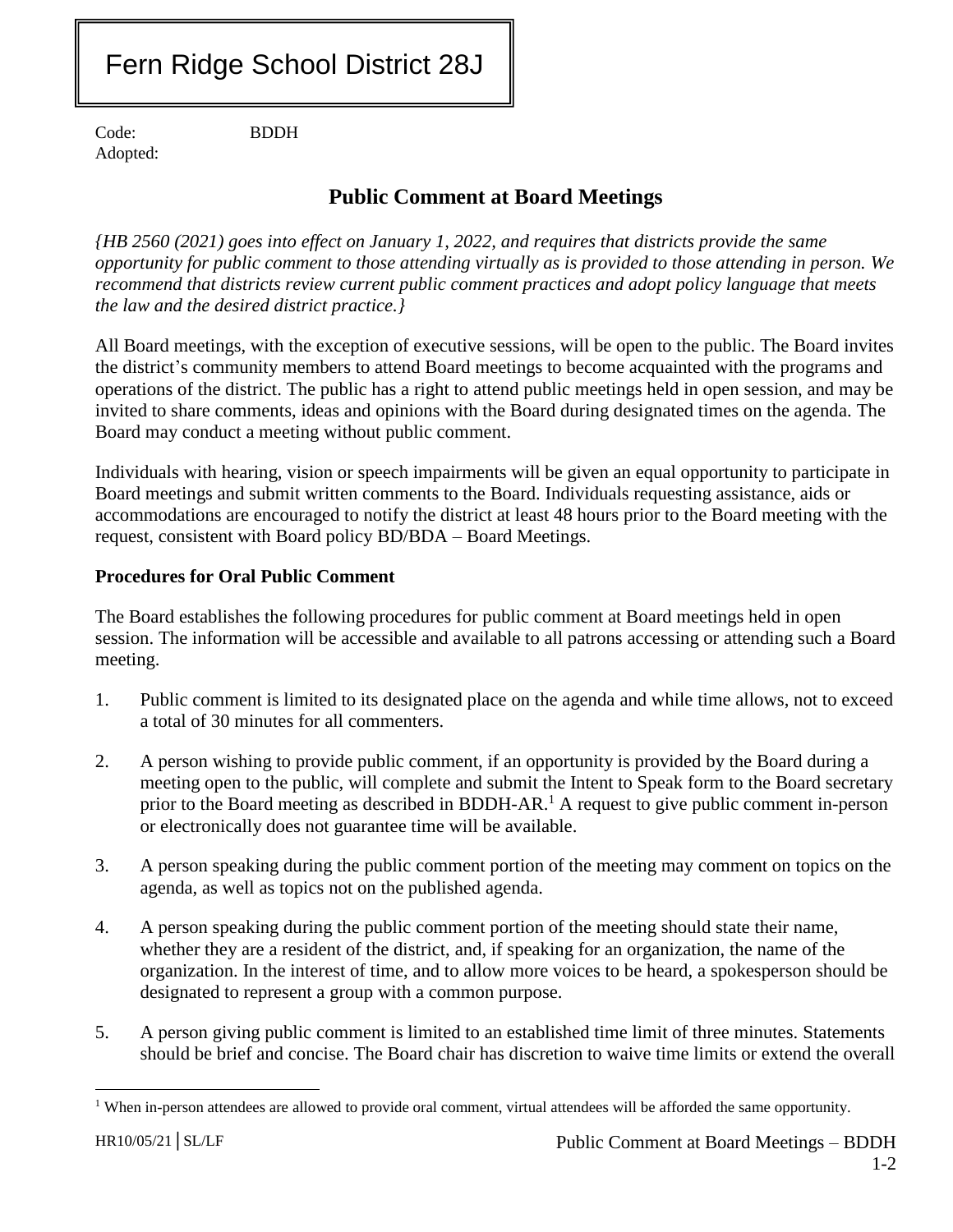# Fern Ridge School District 28J

Code: BDDH Adopted:

## **Public Comment at Board Meetings**

*{HB 2560 (2021) goes into effect on January 1, 2022, and requires that districts provide the same opportunity for public comment to those attending virtually as is provided to those attending in person. We recommend that districts review current public comment practices and adopt policy language that meets the law and the desired district practice.}*

All Board meetings, with the exception of executive sessions, will be open to the public. The Board invites the district's community members to attend Board meetings to become acquainted with the programs and operations of the district. The public has a right to attend public meetings held in open session, and may be invited to share comments, ideas and opinions with the Board during designated times on the agenda. The Board may conduct a meeting without public comment.

Individuals with hearing, vision or speech impairments will be given an equal opportunity to participate in Board meetings and submit written comments to the Board. Individuals requesting assistance, aids or accommodations are encouraged to notify the district at least 48 hours prior to the Board meeting with the request, consistent with Board policy BD/BDA – Board Meetings.

### **Procedures for Oral Public Comment**

The Board establishes the following procedures for public comment at Board meetings held in open session. The information will be accessible and available to all patrons accessing or attending such a Board meeting.

- 1. Public comment is limited to its designated place on the agenda and while time allows, not to exceed a total of 30 minutes for all commenters.
- 2. A person wishing to provide public comment, if an opportunity is provided by the Board during a meeting open to the public, will complete and submit the Intent to Speak form to the Board secretary prior to the Board meeting as described in BDDH-AR.<sup>1</sup> A request to give public comment in-person or electronically does not guarantee time will be available.
- 3. A person speaking during the public comment portion of the meeting may comment on topics on the agenda, as well as topics not on the published agenda.
- 4. A person speaking during the public comment portion of the meeting should state their name, whether they are a resident of the district, and, if speaking for an organization, the name of the organization. In the interest of time, and to allow more voices to be heard, a spokesperson should be designated to represent a group with a common purpose.
- 5. A person giving public comment is limited to an established time limit of three minutes. Statements should be brief and concise. The Board chair has discretion to waive time limits or extend the overall

 $\overline{a}$ <sup>1</sup> When in-person attendees are allowed to provide oral comment, virtual attendees will be afforded the same opportunity.